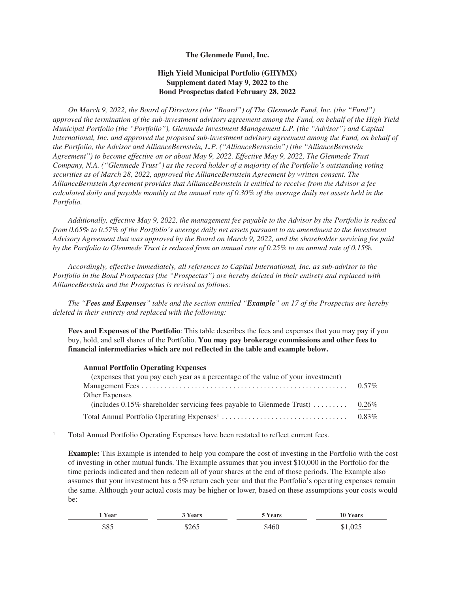## **The Glenmede Fund, Inc.**

## **High Yield Municipal Portfolio (GHYMX) Supplement dated May 9, 2022 to the Bond Prospectus dated February 28, 2022**

*On March 9, 2022, the Board of Directors (the "Board") of The Glenmede Fund, Inc. (the "Fund") approved the termination of the sub-investment advisory agreement among the Fund, on behalf of the High Yield Municipal Portfolio (the "Portfolio"), Glenmede Investment Management L.P. (the "Advisor") and Capital International, Inc. and approved the proposed sub-investment advisory agreement among the Fund, on behalf of the Portfolio, the Advisor and AllianceBernstein, L.P. ("AllianceBernstein") (the "AllianceBernstein Agreement") to become effective on or about May 9, 2022. Effective May 9, 2022, The Glenmede Trust Company, N.A. ("Glenmede Trust") as the record holder of a majority of the Portfolio's outstanding voting securities as of March 28, 2022, approved the AllianceBernstein Agreement by written consent. The AllianceBernstein Agreement provides that AllianceBernstein is entitled to receive from the Advisor a fee calculated daily and payable monthly at the annual rate of 0.30% of the average daily net assets held in the Portfolio.*

*Additionally, effective May 9, 2022, the management fee payable to the Advisor by the Portfolio is reduced from 0.65% to 0.57% of the Portfolio's average daily net assets pursuant to an amendment to the Investment Advisory Agreement that was approved by the Board on March 9, 2022, and the shareholder servicing fee paid by the Portfolio to Glenmede Trust is reduced from an annual rate of 0.25% to an annual rate of 0.15%.*

*Accordingly, effective immediately, all references to Capital International, Inc. as sub-advisor to the Portfolio in the Bond Prospectus (the "Prospectus") are hereby deleted in their entirety and replaced with AllianceBerstein and the Prospectus is revised as follows:*

*The "Fees and Expenses" table and the section entitled "Example" on 17 of the Prospectus are hereby deleted in their entirety and replaced with the following:*

**Fees and Expenses of the Portfolio**: This table describes the fees and expenses that you may pay if you buy, hold, and sell shares of the Portfolio. **You may pay brokerage commissions and other fees to financial intermediaries which are not reflected in the table and example below.**

## **Annual Portfolio Operating Expenses**

| (expenses that you pay each year as a percentage of the value of your investment) |          |
|-----------------------------------------------------------------------------------|----------|
|                                                                                   | $0.57\%$ |
| Other Expenses                                                                    |          |
| (includes $0.15\%$ shareholder servicing fees payable to Glenmede Trust)          | $0.26\%$ |
|                                                                                   |          |

 $1$  Total Annual Portfolio Operating Expenses have been restated to reflect current fees.

**Example:** This Example is intended to help you compare the cost of investing in the Portfolio with the cost of investing in other mutual funds. The Example assumes that you invest \$10,000 in the Portfolio for the time periods indicated and then redeem all of your shares at the end of those periods. The Example also assumes that your investment has a 5% return each year and that the Portfolio's operating expenses remain the same. Although your actual costs may be higher or lower, based on these assumptions your costs would be:

| Year | Nears <b>Nears</b> | * Years | 10 Years |
|------|--------------------|---------|----------|
| \$85 | \$265              | \$460   |          |